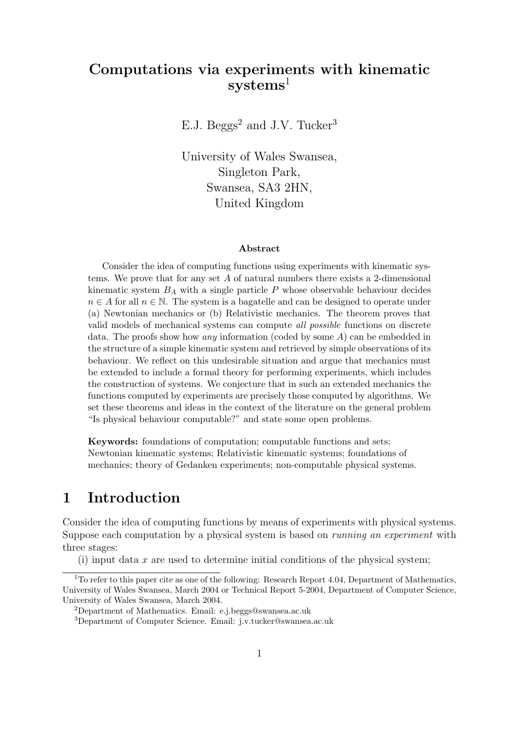# Computations via experiments with kinematic  $systems<sup>1</sup>$

E.J. Beggs<sup>2</sup> and J.V. Tucker<sup>3</sup>

University of Wales Swansea, Singleton Park, Swansea, SA3 2HN, United Kingdom

#### Abstract

Consider the idea of computing functions using experiments with kinematic systems. We prove that for any set  $A$  of natural numbers there exists a 2-dimensional kinematic system  $B_A$  with a single particle P whose observable behaviour decides  $n \in A$  for all  $n \in \mathbb{N}$ . The system is a bagatelle and can be designed to operate under (a) Newtonian mechanics or (b) Relativistic mechanics. The theorem proves that valid models of mechanical systems can compute all possible functions on discrete data. The proofs show how *any* information (coded by some  $A$ ) can be embedded in the structure of a simple kinematic system and retrieved by simple observations of its behaviour. We reflect on this undesirable situation and argue that mechanics must be extended to include a formal theory for performing experiments, which includes the construction of systems. We conjecture that in such an extended mechanics the functions computed by experiments are precisely those computed by algorithms. We set these theorems and ideas in the context of the literature on the general problem "Is physical behaviour computable?" and state some open problems.

Keywords: foundations of computation; computable functions and sets; Newtonian kinematic systems; Relativistic kinematic systems; foundations of mechanics; theory of Gedanken experiments; non-computable physical systems.

### 1 Introduction

Consider the idea of computing functions by means of experiments with physical systems. Suppose each computation by a physical system is based on running an experiment with three stages:

(i) input data  $x$  are used to determine initial conditions of the physical system;

<sup>&</sup>lt;sup>1</sup>To refer to this paper cite as one of the following: Research Report 4.04, Department of Mathematics, University of Wales Swansea, March 2004 or Technical Report 5-2004, Department of Computer Science, University of Wales Swansea, March 2004.

<sup>2</sup>Department of Mathematics. Email: e.j.beggs@swansea.ac.uk

<sup>3</sup>Department of Computer Science. Email: j.v.tucker@swansea.ac.uk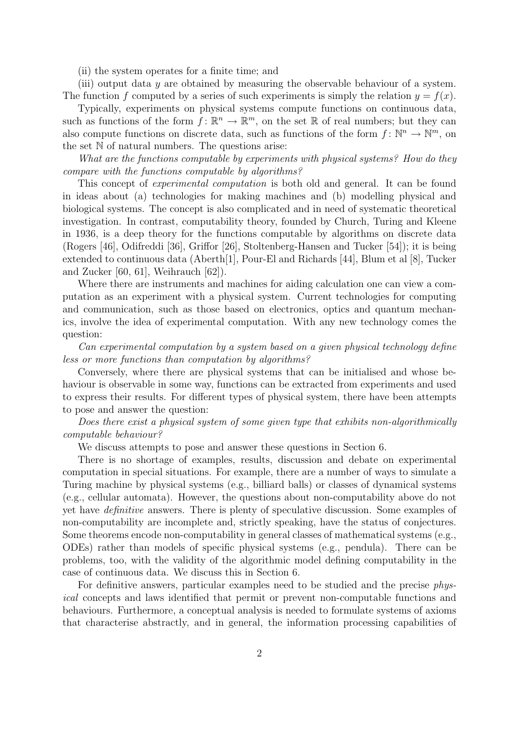(ii) the system operates for a finite time; and

(iii) output data  $\gamma$  are obtained by measuring the observable behaviour of a system. The function f computed by a series of such experiments is simply the relation  $y = f(x)$ .

Typically, experiments on physical systems compute functions on continuous data, such as functions of the form  $f: \mathbb{R}^n \to \mathbb{R}^m$ , on the set R of real numbers; but they can also compute functions on discrete data, such as functions of the form  $f: \mathbb{N}^n \to \mathbb{N}^m$ , on the set  $\mathbb N$  of natural numbers. The questions arise:

What are the functions computable by experiments with physical systems? How do they compare with the functions computable by algorithms?

This concept of experimental computation is both old and general. It can be found in ideas about (a) technologies for making machines and (b) modelling physical and biological systems. The concept is also complicated and in need of systematic theoretical investigation. In contrast, computability theory, founded by Church, Turing and Kleene in 1936, is a deep theory for the functions computable by algorithms on discrete data (Rogers [46], Odifreddi [36], Griffor [26], Stoltenberg-Hansen and Tucker [54]); it is being extended to continuous data (Aberth[1], Pour-El and Richards [44], Blum et al [8], Tucker and Zucker [60, 61], Weihrauch [62]).

Where there are instruments and machines for aiding calculation one can view a computation as an experiment with a physical system. Current technologies for computing and communication, such as those based on electronics, optics and quantum mechanics, involve the idea of experimental computation. With any new technology comes the question:

Can experimental computation by a system based on a given physical technology define less or more functions than computation by algorithms?

Conversely, where there are physical systems that can be initialised and whose behaviour is observable in some way, functions can be extracted from experiments and used to express their results. For different types of physical system, there have been attempts to pose and answer the question:

Does there exist a physical system of some given type that exhibits non-algorithmically computable behaviour?

We discuss attempts to pose and answer these questions in Section 6.

There is no shortage of examples, results, discussion and debate on experimental computation in special situations. For example, there are a number of ways to simulate a Turing machine by physical systems (e.g., billiard balls) or classes of dynamical systems (e.g., cellular automata). However, the questions about non-computability above do not yet have definitive answers. There is plenty of speculative discussion. Some examples of non-computability are incomplete and, strictly speaking, have the status of conjectures. Some theorems encode non-computability in general classes of mathematical systems (e.g., ODEs) rather than models of specific physical systems (e.g., pendula). There can be problems, too, with the validity of the algorithmic model defining computability in the case of continuous data. We discuss this in Section 6.

For definitive answers, particular examples need to be studied and the precise physical concepts and laws identified that permit or prevent non-computable functions and behaviours. Furthermore, a conceptual analysis is needed to formulate systems of axioms that characterise abstractly, and in general, the information processing capabilities of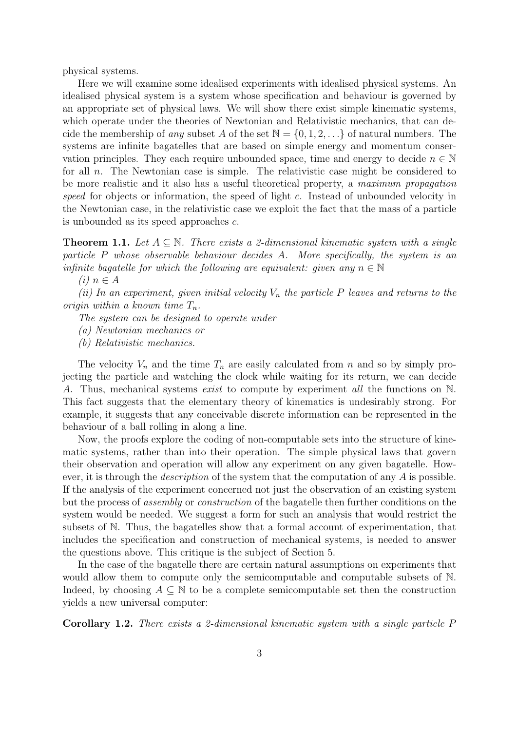physical systems.

Here we will examine some idealised experiments with idealised physical systems. An idealised physical system is a system whose specification and behaviour is governed by an appropriate set of physical laws. We will show there exist simple kinematic systems, which operate under the theories of Newtonian and Relativistic mechanics, that can decide the membership of any subset A of the set  $\mathbb{N} = \{0, 1, 2, \ldots\}$  of natural numbers. The systems are infinite bagatelles that are based on simple energy and momentum conservation principles. They each require unbounded space, time and energy to decide  $n \in \mathbb{N}$ for all n. The Newtonian case is simple. The relativistic case might be considered to be more realistic and it also has a useful theoretical property, a maximum propagation speed for objects or information, the speed of light c. Instead of unbounded velocity in the Newtonian case, in the relativistic case we exploit the fact that the mass of a particle is unbounded as its speed approaches c.

**Theorem 1.1.** Let  $A \subseteq \mathbb{N}$ . There exists a 2-dimensional kinematic system with a single particle P whose observable behaviour decides A. More specifically, the system is an infinite bagatelle for which the following are equivalent: given any  $n \in \mathbb{N}$ 

 $(i)$   $n \in A$ 

(ii) In an experiment, given initial velocity  $V_n$  the particle P leaves and returns to the origin within a known time  $T_n$ .

The system can be designed to operate under

(a) Newtonian mechanics or

(b) Relativistic mechanics.

The velocity  $V_n$  and the time  $T_n$  are easily calculated from n and so by simply projecting the particle and watching the clock while waiting for its return, we can decide A. Thus, mechanical systems *exist* to compute by experiment *all* the functions on N. This fact suggests that the elementary theory of kinematics is undesirably strong. For example, it suggests that any conceivable discrete information can be represented in the behaviour of a ball rolling in along a line.

Now, the proofs explore the coding of non-computable sets into the structure of kinematic systems, rather than into their operation. The simple physical laws that govern their observation and operation will allow any experiment on any given bagatelle. However, it is through the *description* of the system that the computation of any  $\vec{A}$  is possible. If the analysis of the experiment concerned not just the observation of an existing system but the process of assembly or construction of the bagatelle then further conditions on the system would be needed. We suggest a form for such an analysis that would restrict the subsets of N. Thus, the bagatelles show that a formal account of experimentation, that includes the specification and construction of mechanical systems, is needed to answer the questions above. This critique is the subject of Section 5.

In the case of the bagatelle there are certain natural assumptions on experiments that would allow them to compute only the semicomputable and computable subsets of N. Indeed, by choosing  $A \subseteq \mathbb{N}$  to be a complete semicomputable set then the construction yields a new universal computer:

Corollary 1.2. There exists a 2-dimensional kinematic system with a single particle P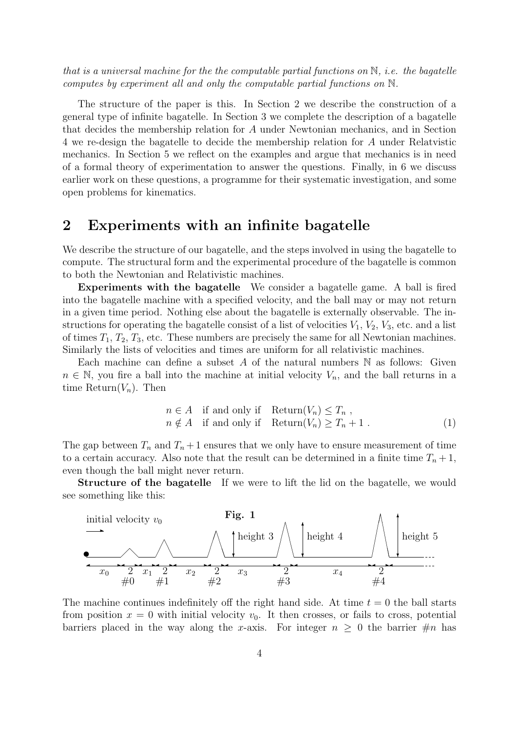that is a universal machine for the the computable partial functions on  $\mathbb{N}$ , *i.e.* the bagatelle computes by experiment all and only the computable partial functions on N.

The structure of the paper is this. In Section 2 we describe the construction of a general type of infinite bagatelle. In Section 3 we complete the description of a bagatelle that decides the membership relation for A under Newtonian mechanics, and in Section 4 we re-design the bagatelle to decide the membership relation for A under Relatvistic mechanics. In Section 5 we reflect on the examples and argue that mechanics is in need of a formal theory of experimentation to answer the questions. Finally, in 6 we discuss earlier work on these questions, a programme for their systematic investigation, and some open problems for kinematics.

## 2 Experiments with an infinite bagatelle

We describe the structure of our bagatelle, and the steps involved in using the bagatelle to compute. The structural form and the experimental procedure of the bagatelle is common to both the Newtonian and Relativistic machines.

Experiments with the bagatelle We consider a bagatelle game. A ball is fired into the bagatelle machine with a specified velocity, and the ball may or may not return in a given time period. Nothing else about the bagatelle is externally observable. The instructions for operating the bagatelle consist of a list of velocities  $V_1$ ,  $V_2$ ,  $V_3$ , etc. and a list of times  $T_1, T_2, T_3$ , etc. These numbers are precisely the same for all Newtonian machines. Similarly the lists of velocities and times are uniform for all relativistic machines.

Each machine can define a subset A of the natural numbers  $\mathbb N$  as follows: Given  $n \in \mathbb{N}$ , you fire a ball into the machine at initial velocity  $V_n$ , and the ball returns in a time  $Return(V_n)$ . Then

$$
n \in A \quad \text{if and only if} \quad \text{Return}(V_n) \le T_n ,n \notin A \quad \text{if and only if} \quad \text{Return}(V_n) \ge T_n + 1 .
$$
 (1)

The gap between  $T_n$  and  $T_n + 1$  ensures that we only have to ensure measurement of time to a certain accuracy. Also note that the result can be determined in a finite time  $T_n + 1$ , even though the ball might never return.

Structure of the bagatelle If we were to lift the lid on the bagatelle, we would see something like this:



The machine continues indefinitely off the right hand side. At time  $t = 0$  the ball starts from position  $x = 0$  with initial velocity  $v_0$ . It then crosses, or fails to cross, potential barriers placed in the way along the x-axis. For integer  $n \geq 0$  the barrier  $\#n$  has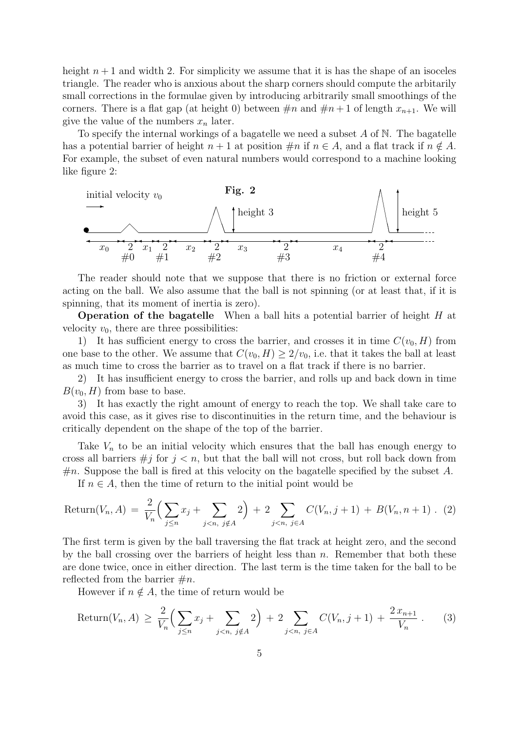height  $n + 1$  and width 2. For simplicity we assume that it is has the shape of an isoceles triangle. The reader who is anxious about the sharp corners should compute the arbitarily small corrections in the formulae given by introducing arbitrarily small smoothings of the corners. There is a flat gap (at height 0) between  $\#n$  and  $\#n+1$  of length  $x_{n+1}$ . We will give the value of the numbers  $x_n$  later.

To specify the internal workings of a bagatelle we need a subset  $A$  of  $N$ . The bagatelle has a potential barrier of height  $n + 1$  at position  $\#n$  if  $n \in A$ , and a flat track if  $n \notin A$ . For example, the subset of even natural numbers would correspond to a machine looking like figure 2:



The reader should note that we suppose that there is no friction or external force acting on the ball. We also assume that the ball is not spinning (or at least that, if it is spinning, that its moment of inertia is zero).

Operation of the bagatelle When a ball hits a potential barrier of height H at velocity  $v_0$ , there are three possibilities:

1) It has sufficient energy to cross the barrier, and crosses it in time  $C(v_0, H)$  from one base to the other. We assume that  $C(v_0, H) \geq 2/v_0$ , i.e. that it takes the ball at least as much time to cross the barrier as to travel on a flat track if there is no barrier.

2) It has insufficient energy to cross the barrier, and rolls up and back down in time  $B(v_0, H)$  from base to base.

3) It has exactly the right amount of energy to reach the top. We shall take care to avoid this case, as it gives rise to discontinuities in the return time, and the behaviour is critically dependent on the shape of the top of the barrier.

Take  $V_n$  to be an initial velocity which ensures that the ball has enough energy to cross all barriers  $\# j$  for  $j < n$ , but that the ball will not cross, but roll back down from  $\#n$ . Suppose the ball is fired at this velocity on the bagatelle specified by the subset A. If  $n \in A$ , then the time of return to the initial point would be

$$
Return(V_n, A) = \frac{2}{V_n} \Big( \sum_{j \le n} x_j + \sum_{j < n, j \notin A} 2 \Big) + 2 \sum_{j < n, j \in A} C(V_n, j + 1) + B(V_n, n + 1). \tag{2}
$$

The first term is given by the ball traversing the flat track at height zero, and the second by the ball crossing over the barriers of height less than  $n$ . Remember that both these are done twice, once in either direction. The last term is the time taken for the ball to be reflected from the barrier  $\#n$ .

However if  $n \notin A$ , the time of return would be

$$
Return(V_n, A) \geq \frac{2}{V_n} \Big( \sum_{j \leq n} x_j + \sum_{j < n, j \notin A} 2 \Big) + 2 \sum_{j < n, j \in A} C(V_n, j + 1) + \frac{2 x_{n+1}}{V_n} \,. \tag{3}
$$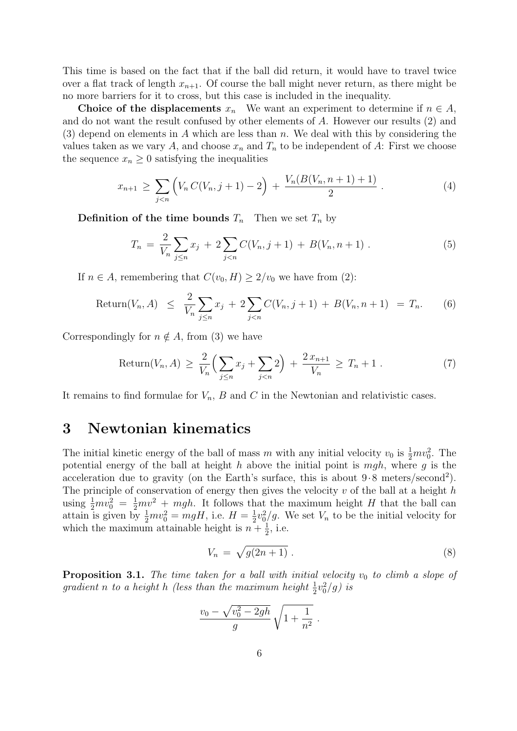This time is based on the fact that if the ball did return, it would have to travel twice over a flat track of length  $x_{n+1}$ . Of course the ball might never return, as there might be no more barriers for it to cross, but this case is included in the inequality.

Choice of the displacements  $x_n$  We want an experiment to determine if  $n \in A$ , and do not want the result confused by other elements of A. However our results (2) and (3) depend on elements in A which are less than n. We deal with this by considering the values taken as we vary A, and choose  $x_n$  and  $T_n$  to be independent of A: First we choose the sequence  $x_n \geq 0$  satisfying the inequalities

$$
x_{n+1} \geq \sum_{j < n} \left( V_n C(V_n, j+1) - 2 \right) + \frac{V_n(B(V_n, n+1) + 1)}{2} \,. \tag{4}
$$

**Definition of the time bounds**  $T_n$  Then we set  $T_n$  by

$$
T_n = \frac{2}{V_n} \sum_{j \le n} x_j + 2 \sum_{j < n} C(V_n, j+1) + B(V_n, n+1) \tag{5}
$$

If  $n \in A$ , remembering that  $C(v_0, H) \geq 2/v_0$  we have from (2):

$$
Return(V_n, A) \leq \frac{2}{V_n} \sum_{j \leq n} x_j + 2 \sum_{j < n} C(V_n, j + 1) + B(V_n, n + 1) = T_n. \tag{6}
$$

Correspondingly for  $n \notin A$ , from (3) we have

$$
Return(V_n, A) \ge \frac{2}{V_n} \Big( \sum_{j \le n} x_j + \sum_{j < n} 2 \Big) + \frac{2 x_{n+1}}{V_n} \ge T_n + 1 \,. \tag{7}
$$

It remains to find formulae for  $V_n$ , B and C in the Newtonian and relativistic cases.

# 3 Newtonian kinematics

The initial kinetic energy of the ball of mass m with any initial velocity  $v_0$  is  $\frac{1}{2}mv_0^2$ . The potential energy of the ball at height h above the initial point is  $mgh$ , where g is the acceleration due to gravity (on the Earth's surface, this is about  $9.8$  meters/second<sup>2</sup>). The principle of conservation of energy then gives the velocity  $v$  of the ball at a height  $h$ using  $\frac{1}{2}mv_0^2 = \frac{1}{2}mv^2 + mgh$ . It follows that the maximum height H that the ball can attain is given by  $\frac{1}{2}mv_0^2 = mgH$ , i.e.  $H = \frac{1}{2}$  $\frac{1}{2}v_0^2/g$ . We set  $V_n$  to be the initial velocity for which the maximum attainable height is  $n + \frac{1}{2}$  $\frac{1}{2}$ , i.e.

$$
V_n = \sqrt{g(2n+1)} \tag{8}
$$

**Proposition 3.1.** The time taken for a ball with initial velocity  $v_0$  to climb a slope of gradient n to a height h (less than the maximum height  $\frac{1}{2}v_0^2/g$ ) is

$$
\frac{v_0 - \sqrt{v_0^2 - 2gh}}{g} \sqrt{1 + \frac{1}{n^2}}.
$$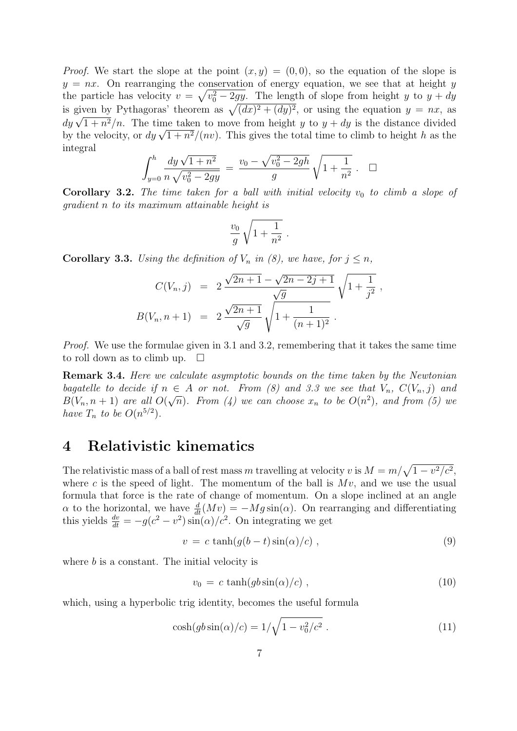*Proof.* We start the slope at the point  $(x, y) = (0, 0)$ , so the equation of the slope is  $y = nx$ . On rearranging the conservation of energy equation, we see that at height y the particle has velocity  $v = \sqrt{v_0^2 - 2gy}$ . The length of slope from height y to  $y + dy$ is given by Pythagoras' theorem as  $\sqrt{(dx)^2 + (dy)^2}$ , or using the equation  $y = nx$ , as is given by rythagoras theorem as  $\sqrt{(\alpha x)^2 + (\alpha y)^2}$ , or using the equation  $y = n x$ , as  $dy \sqrt{1 + n^2}/n$ . The time taken to move from height y to  $y + dy$  is the distance divided  $\frac{dy}{\sqrt{1 + n^2/n}}$ . The time taken to move from height y to  $y + ay$  is the distance divided<br>by the velocity, or  $dy \sqrt{1 + n^2}/(nv)$ . This gives the total time to climb to height h as the integral

$$
\int_{y=0}^{h} \frac{dy \sqrt{1+n^2}}{n \sqrt{v_0^2 - 2gy}} = \frac{v_0 - \sqrt{v_0^2 - 2gh}}{g} \sqrt{1 + \frac{1}{n^2}} \ . \ \ \Box
$$

**Corollary 3.2.** The time taken for a ball with initial velocity  $v_0$  to climb a slope of gradient n to its maximum attainable height is

$$
\frac{v_0}{g}\sqrt{1+\frac{1}{n^2}}\ .
$$

**Corollary 3.3.** Using the definition of  $V_n$  in (8), we have, for  $j \leq n$ ,

$$
C(V_n, j) = 2 \frac{\sqrt{2n+1} - \sqrt{2n-2j+1}}{\sqrt{g}} \sqrt{1 + \frac{1}{j^2}},
$$
  

$$
B(V_n, n+1) = 2 \frac{\sqrt{2n+1}}{\sqrt{g}} \sqrt{1 + \frac{1}{(n+1)^2}}.
$$

Proof. We use the formulae given in 3.1 and 3.2, remembering that it takes the same time to roll down as to climb up.  $\square$ 

Remark 3.4. Here we calculate asymptotic bounds on the time taken by the Newtonian bagatelle to decide if  $n \in A$  or not. From (8) and 3.3 we see that  $V_n$ ,  $C(V_n, j)$  and  $B(V_n, n+1)$  are all  $O(\sqrt{n})$ . From (4) we can choose  $x_n$  to be  $O(n^2)$ , and from (5) we have  $T_n$  to be  $O(n^{5/2})$ .

## 4 Relativistic kinematics

The relativistic mass of a ball of rest mass m travelling at velocity v is  $M = m/\sqrt{1 - v^2/c^2}$ , where c is the speed of light. The momentum of the ball is  $Mv$ , and we use the usual formula that force is the rate of change of momentum. On a slope inclined at an angle  $\alpha$  to the horizontal, we have  $\frac{d}{dt}(Mv) = -Mg\sin(\alpha)$ . On rearranging and differentiating this yields  $\frac{dv}{dt} = -g(c^2 - v^2)\sin(\alpha)/c^2$ . On integrating we get

$$
v = c \tanh(g(b-t)\sin(\alpha)/c) , \qquad (9)
$$

where  $b$  is a constant. The initial velocity is

$$
v_0 = c \tanh(gb\sin(\alpha)/c) , \qquad (10)
$$

which, using a hyperbolic trig identity, becomes the useful formula

$$
\cosh(gb\sin(\alpha)/c) = 1/\sqrt{1 - v_0^2/c^2} \ . \tag{11}
$$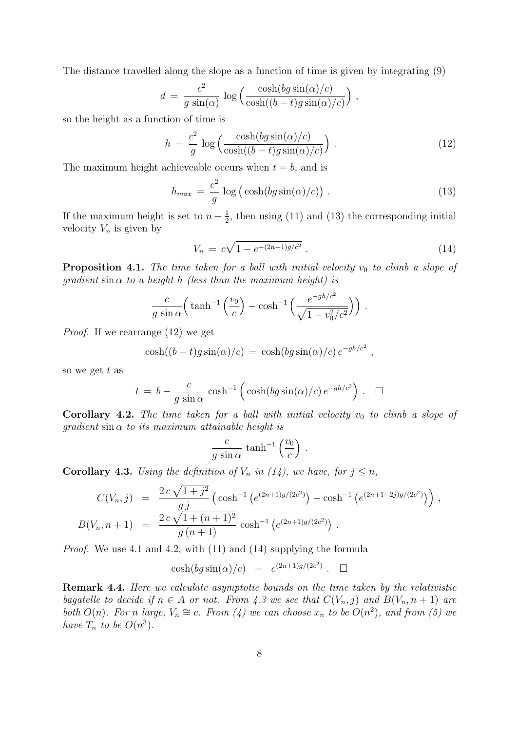The distance travelled along the slope as a function of time is given by integrating (9)

$$
d = \frac{c^2}{g \sin(\alpha)} \log \left( \frac{\cosh(bg \sin(\alpha)/c)}{\cosh((b-t)g \sin(\alpha)/c)} \right),
$$

so the height as a function of time is

$$
h = \frac{c^2}{g} \log \left( \frac{\cosh (bg \sin(\alpha)/c)}{\cosh((b-t)g \sin(\alpha)/c)} \right). \tag{12}
$$

The maximum height achieveable occurs when  $t = b$ , and is

$$
h_{max} = \frac{c^2}{g} \log \left( \cosh \left( \frac{bg \sin(\alpha)}{c} \right) \right). \tag{13}
$$

If the maximum height is set to  $n + \frac{1}{2}$  $\frac{1}{2}$ , then using (11) and (13) the corresponding initial velocity  $V_n$  is given by

$$
V_n = c\sqrt{1 - e^{-(2n+1)g/c^2}}.
$$
\n(14)

**Proposition 4.1.** The time taken for a ball with initial velocity  $v_0$  to climb a slope of qradient sin  $\alpha$  to a height h (less than the maximum height) is

$$
\frac{c}{g\sin\alpha}\left(\tanh^{-1}\left(\frac{v_0}{c}\right) - \cosh^{-1}\left(\frac{e^{-gh/c^2}}{\sqrt{1-v_0^2/c^2}}\right)\right).
$$

Proof. If we rearrange (12) we get

$$
\cosh((b-t)g\sin(\alpha)/c) = \cosh(bg\sin(\alpha)/c)e^{-gh/c^2},
$$

so we get  $t$  as

$$
t = b - \frac{c}{g \sin \alpha} \cosh^{-1} \left( \cosh(bg \sin(\alpha)/c) e^{-gh/c^2} \right)
$$
.  $\Box$ 

**Corollary 4.2.** The time taken for a ball with initial velocity  $v_0$  to climb a slope of qradient sin  $\alpha$  to its maximum attainable height is

$$
\frac{c}{g\,\sin\alpha}\,\tanh^{-1}\left(\frac{v_0}{c}\right)\,.
$$

**Corollary 4.3.** Using the definition of  $V_n$  in (14), we have, for  $j \leq n$ ,

$$
C(V_n, j) = \frac{2 c \sqrt{1 + j^2}}{g j} \left( \cosh^{-1} \left( e^{(2n+1)g/(2c^2)} \right) - \cosh^{-1} \left( e^{(2n+1-2j)g/(2c^2)} \right) \right),
$$
  
\n
$$
B(V_n, n+1) = \frac{2 c \sqrt{1 + (n+1)^2}}{g (n+1)} \cosh^{-1} \left( e^{(2n+1)g/(2c^2)} \right).
$$

Proof. We use 4.1 and 4.2, with (11) and (14) supplying the formula

$$
\cosh(bg\sin(\alpha)/c) = e^{(2n+1)g/(2c^2)} \cdot \square
$$

Remark 4.4. Here we calculate asymptotic bounds on the time taken by the relativistic bagatelle to decide if  $n \in A$  or not. From 4.3 we see that  $C(V_n, j)$  and  $B(V_n, n+1)$  are both  $O(n)$ . For n large,  $V_n \cong c$ . From (4) we can choose  $x_n$  to be  $O(n^2)$ , and from (5) we have  $T_n$  to be  $O(n^3)$ .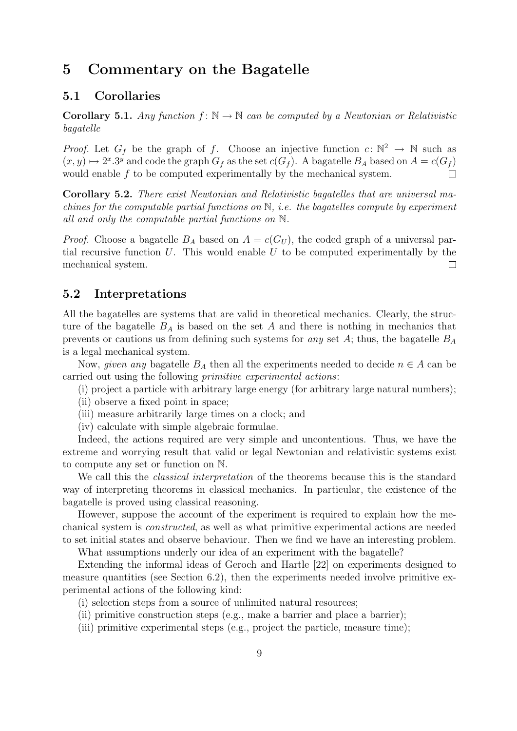### 5 Commentary on the Bagatelle

### 5.1 Corollaries

**Corollary 5.1.** Any function  $f: \mathbb{N} \to \mathbb{N}$  can be computed by a Newtonian or Relativistic bagatelle

*Proof.* Let  $G_f$  be the graph of f. Choose an injective function  $c: \mathbb{N}^2 \to \mathbb{N}$  such as  $(x, y) \mapsto 2^x \cdot 3^y$  and code the graph  $G_f$  as the set  $c(G_f)$ . A bagatelle  $B_A$  based on  $A = c(G_f)$ would enable f to be computed experimentally by the mechanical system. П

Corollary 5.2. There exist Newtonian and Relativistic bagatelles that are universal machines for the computable partial functions on  $\mathbb{N}$ , i.e. the bagatelles compute by experiment all and only the computable partial functions on N.

*Proof.* Choose a bagatelle  $B_A$  based on  $A = c(G_U)$ , the coded graph of a universal partial recursive function  $U$ . This would enable  $U$  to be computed experimentally by the mechanical system.  $\Box$ 

### 5.2 Interpretations

All the bagatelles are systems that are valid in theoretical mechanics. Clearly, the structure of the bagatelle  $B_A$  is based on the set A and there is nothing in mechanics that prevents or cautions us from defining such systems for any set A; thus, the bagatelle  $B_A$ is a legal mechanical system.

Now, *given any* bagatelle  $B_A$  then all the experiments needed to decide  $n \in A$  can be carried out using the following primitive experimental actions:

- (i) project a particle with arbitrary large energy (for arbitrary large natural numbers);
- (ii) observe a fixed point in space;
- (iii) measure arbitrarily large times on a clock; and
- (iv) calculate with simple algebraic formulae.

Indeed, the actions required are very simple and uncontentious. Thus, we have the extreme and worrying result that valid or legal Newtonian and relativistic systems exist to compute any set or function on N.

We call this the *classical interpretation* of the theorems because this is the standard way of interpreting theorems in classical mechanics. In particular, the existence of the bagatelle is proved using classical reasoning.

However, suppose the account of the experiment is required to explain how the mechanical system is constructed, as well as what primitive experimental actions are needed to set initial states and observe behaviour. Then we find we have an interesting problem.

What assumptions underly our idea of an experiment with the bagatelle?

Extending the informal ideas of Geroch and Hartle [22] on experiments designed to measure quantities (see Section 6.2), then the experiments needed involve primitive experimental actions of the following kind:

- (i) selection steps from a source of unlimited natural resources;
- (ii) primitive construction steps (e.g., make a barrier and place a barrier);
- (iii) primitive experimental steps (e.g., project the particle, measure time);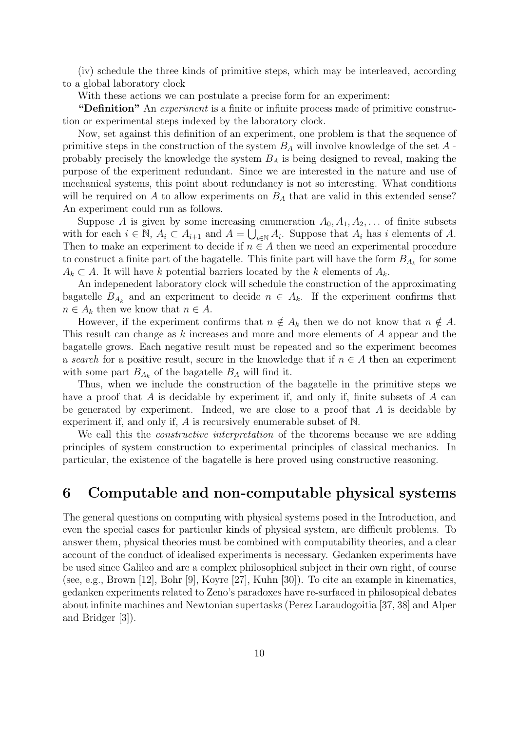(iv) schedule the three kinds of primitive steps, which may be interleaved, according to a global laboratory clock

With these actions we can postulate a precise form for an experiment:

"Definition" An *experiment* is a finite or infinite process made of primitive construction or experimental steps indexed by the laboratory clock.

Now, set against this definition of an experiment, one problem is that the sequence of primitive steps in the construction of the system  $B_A$  will involve knowledge of the set  $A$ . probably precisely the knowledge the system  $B<sub>A</sub>$  is being designed to reveal, making the purpose of the experiment redundant. Since we are interested in the nature and use of mechanical systems, this point about redundancy is not so interesting. What conditions will be required on A to allow experiments on  $B<sub>A</sub>$  that are valid in this extended sense? An experiment could run as follows.

Suppose A is given by some increasing enumeration  $A_0, A_1, A_2, \ldots$  of finite subsets with for each  $i \in \mathbb{N}$ ,  $A_i \subset A_{i+1}$  and  $A = \bigcup_{i \in \mathbb{N}} A_i$ . Suppose that  $A_i$  has i elements of A. Then to make an experiment to decide if  $n \in A$  then we need an experimental procedure to construct a finite part of the bagatelle. This finite part will have the form  $B_{A_k}$  for some  $A_k \subset A$ . It will have k potential barriers located by the k elements of  $A_k$ .

An indepenedent laboratory clock will schedule the construction of the approximating bagatelle  $B_{A_k}$  and an experiment to decide  $n \in A_k$ . If the experiment confirms that  $n \in A_k$  then we know that  $n \in A$ .

However, if the experiment confirms that  $n \notin A_k$  then we do not know that  $n \notin A$ . This result can change as k increases and more and more elements of A appear and the bagatelle grows. Each negative result must be repeated and so the experiment becomes a search for a positive result, secure in the knowledge that if  $n \in A$  then an experiment with some part  $B_{A_k}$  of the bagatelle  $B_A$  will find it.

Thus, when we include the construction of the bagatelle in the primitive steps we have a proof that  $A$  is decidable by experiment if, and only if, finite subsets of  $A$  can be generated by experiment. Indeed, we are close to a proof that  $A$  is decidable by experiment if, and only if, A is recursively enumerable subset of N.

We call this the *constructive interpretation* of the theorems because we are adding principles of system construction to experimental principles of classical mechanics. In particular, the existence of the bagatelle is here proved using constructive reasoning.

### 6 Computable and non-computable physical systems

The general questions on computing with physical systems posed in the Introduction, and even the special cases for particular kinds of physical system, are difficult problems. To answer them, physical theories must be combined with computability theories, and a clear account of the conduct of idealised experiments is necessary. Gedanken experiments have be used since Galileo and are a complex philosophical subject in their own right, of course (see, e.g., Brown [12], Bohr [9], Koyre [27], Kuhn [30]). To cite an example in kinematics, gedanken experiments related to Zeno's paradoxes have re-surfaced in philosopical debates about infinite machines and Newtonian supertasks (Perez Laraudogoitia [37, 38] and Alper and Bridger [3]).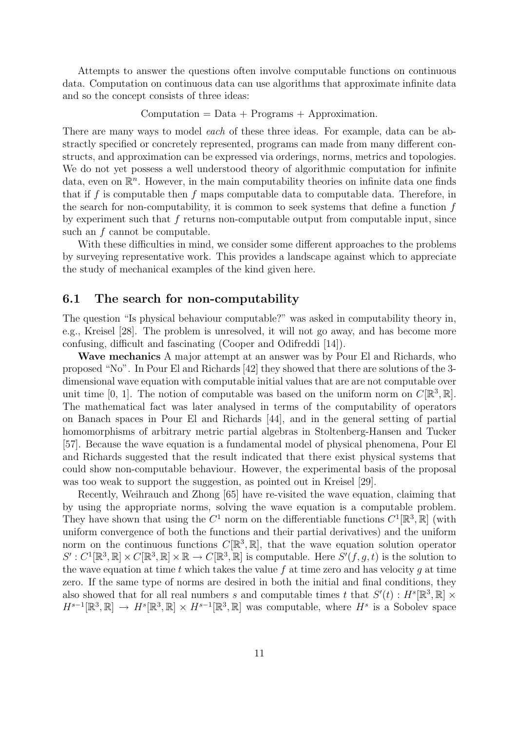Attempts to answer the questions often involve computable functions on continuous data. Computation on continuous data can use algorithms that approximate infinite data and so the concept consists of three ideas:

 $Computation = Data + Programs + Approximation.$ 

There are many ways to model *each* of these three ideas. For example, data can be abstractly specified or concretely represented, programs can made from many different constructs, and approximation can be expressed via orderings, norms, metrics and topologies. We do not yet possess a well understood theory of algorithmic computation for infinite data, even on  $\mathbb{R}^n$ . However, in the main computability theories on infinite data one finds that if f is computable then f maps computable data to computable data. Therefore, in the search for non-computability, it is common to seek systems that define a function  $f$ by experiment such that  $f$  returns non-computable output from computable input, since such an  $f$  cannot be computable.

With these difficulties in mind, we consider some different approaches to the problems by surveying representative work. This provides a landscape against which to appreciate the study of mechanical examples of the kind given here.

### 6.1 The search for non-computability

The question "Is physical behaviour computable?" was asked in computability theory in, e.g., Kreisel [28]. The problem is unresolved, it will not go away, and has become more confusing, difficult and fascinating (Cooper and Odifreddi [14]).

Wave mechanics A major attempt at an answer was by Pour El and Richards, who proposed "No". In Pour El and Richards [42] they showed that there are solutions of the 3 dimensional wave equation with computable initial values that are are not computable over unit time [0, 1]. The notion of computable was based on the uniform norm on  $C[\mathbb{R}^3, \mathbb{R}]$ . The mathematical fact was later analysed in terms of the computability of operators on Banach spaces in Pour El and Richards [44], and in the general setting of partial homomorphisms of arbitrary metric partial algebras in Stoltenberg-Hansen and Tucker [57]. Because the wave equation is a fundamental model of physical phenomena, Pour El and Richards suggested that the result indicated that there exist physical systems that could show non-computable behaviour. However, the experimental basis of the proposal was too weak to support the suggestion, as pointed out in Kreisel [29].

Recently, Weihrauch and Zhong [65] have re-visited the wave equation, claiming that by using the appropriate norms, solving the wave equation is a computable problem. They have shown that using the  $C^1$  norm on the differentiable functions  $C^1[\mathbb{R}^3, \mathbb{R}]$  (with uniform convergence of both the functions and their partial derivatives) and the uniform norm on the continuous functions  $C[\mathbb{R}^3, \mathbb{R}]$ , that the wave equation solution operator  $S': C^1[\mathbb{R}^3, \mathbb{R}] \times C[\mathbb{R}^3, \mathbb{R}] \times \mathbb{R} \to C[\mathbb{R}^3, \mathbb{R}]$  is computable. Here  $S'(f, g, t)$  is the solution to the wave equation at time t which takes the value f at time zero and has velocity q at time zero. If the same type of norms are desired in both the initial and final conditions, they also showed that for all real numbers s and computable times t that  $S'(t) : H^s[\mathbb{R}^3, \mathbb{R}] \times$  $H^{s-1}[\mathbb{R}^3,\mathbb{R}] \to H^s[\mathbb{R}^3,\mathbb{R}] \times H^{s-1}[\mathbb{R}^3,\mathbb{R}]$  was computable, where  $H^s$  is a Sobolev space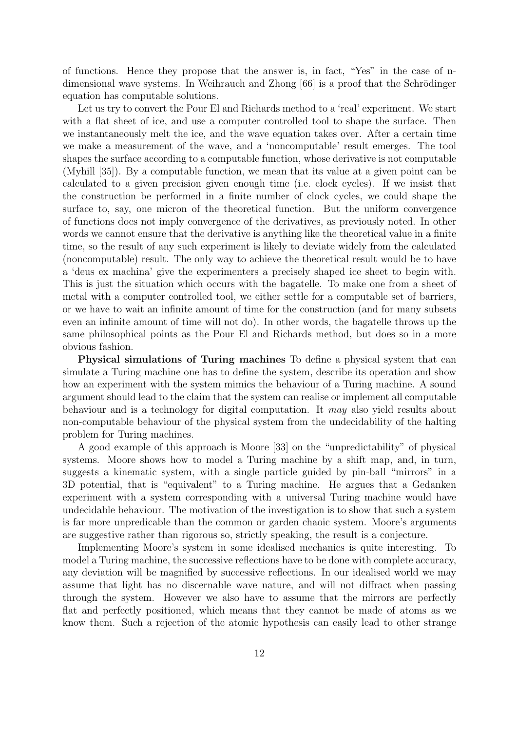of functions. Hence they propose that the answer is, in fact, "Yes" in the case of ndimensional wave systems. In Weihrauch and Zhong [66] is a proof that the Schrödinger equation has computable solutions.

Let us try to convert the Pour El and Richards method to a 'real' experiment. We start with a flat sheet of ice, and use a computer controlled tool to shape the surface. Then we instantaneously melt the ice, and the wave equation takes over. After a certain time we make a measurement of the wave, and a 'noncomputable' result emerges. The tool shapes the surface according to a computable function, whose derivative is not computable (Myhill [35]). By a computable function, we mean that its value at a given point can be calculated to a given precision given enough time (i.e. clock cycles). If we insist that the construction be performed in a finite number of clock cycles, we could shape the surface to, say, one micron of the theoretical function. But the uniform convergence of functions does not imply convergence of the derivatives, as previously noted. In other words we cannot ensure that the derivative is anything like the theoretical value in a finite time, so the result of any such experiment is likely to deviate widely from the calculated (noncomputable) result. The only way to achieve the theoretical result would be to have a 'deus ex machina' give the experimenters a precisely shaped ice sheet to begin with. This is just the situation which occurs with the bagatelle. To make one from a sheet of metal with a computer controlled tool, we either settle for a computable set of barriers, or we have to wait an infinite amount of time for the construction (and for many subsets even an infinite amount of time will not do). In other words, the bagatelle throws up the same philosophical points as the Pour El and Richards method, but does so in a more obvious fashion.

Physical simulations of Turing machines To define a physical system that can simulate a Turing machine one has to define the system, describe its operation and show how an experiment with the system mimics the behaviour of a Turing machine. A sound argument should lead to the claim that the system can realise or implement all computable behaviour and is a technology for digital computation. It may also yield results about non-computable behaviour of the physical system from the undecidability of the halting problem for Turing machines.

A good example of this approach is Moore [33] on the "unpredictability" of physical systems. Moore shows how to model a Turing machine by a shift map, and, in turn, suggests a kinematic system, with a single particle guided by pin-ball "mirrors" in a 3D potential, that is "equivalent" to a Turing machine. He argues that a Gedanken experiment with a system corresponding with a universal Turing machine would have undecidable behaviour. The motivation of the investigation is to show that such a system is far more unpredicable than the common or garden chaoic system. Moore's arguments are suggestive rather than rigorous so, strictly speaking, the result is a conjecture.

Implementing Moore's system in some idealised mechanics is quite interesting. To model a Turing machine, the successive reflections have to be done with complete accuracy, any deviation will be magnified by successive reflections. In our idealised world we may assume that light has no discernable wave nature, and will not diffract when passing through the system. However we also have to assume that the mirrors are perfectly flat and perfectly positioned, which means that they cannot be made of atoms as we know them. Such a rejection of the atomic hypothesis can easily lead to other strange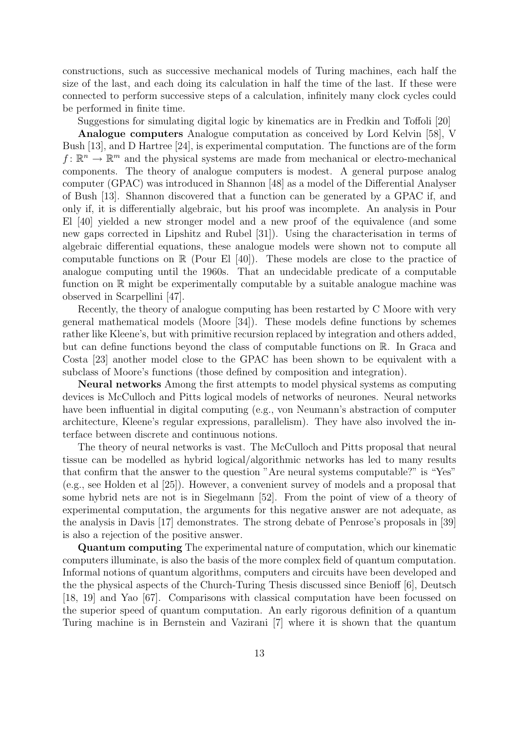constructions, such as successive mechanical models of Turing machines, each half the size of the last, and each doing its calculation in half the time of the last. If these were connected to perform successive steps of a calculation, infinitely many clock cycles could be performed in finite time.

Suggestions for simulating digital logic by kinematics are in Fredkin and Toffoli [20]

Analogue computers Analogue computation as conceived by Lord Kelvin [58], V Bush [13], and D Hartree [24], is experimental computation. The functions are of the form  $f: \mathbb{R}^n \to \mathbb{R}^m$  and the physical systems are made from mechanical or electro-mechanical components. The theory of analogue computers is modest. A general purpose analog computer (GPAC) was introduced in Shannon [48] as a model of the Differential Analyser of Bush [13]. Shannon discovered that a function can be generated by a GPAC if, and only if, it is differentially algebraic, but his proof was incomplete. An analysis in Pour El [40] yielded a new stronger model and a new proof of the equivalence (and some new gaps corrected in Lipshitz and Rubel [31]). Using the characterisation in terms of algebraic differential equations, these analogue models were shown not to compute all computable functions on  $\mathbb R$  (Pour El [40]). These models are close to the practice of analogue computing until the 1960s. That an undecidable predicate of a computable function on R might be experimentally computable by a suitable analogue machine was observed in Scarpellini [47].

Recently, the theory of analogue computing has been restarted by C Moore with very general mathematical models (Moore [34]). These models define functions by schemes rather like Kleene's, but with primitive recursion replaced by integration and others added, but can define functions beyond the class of computable functions on R. In Graca and Costa [23] another model close to the GPAC has been shown to be equivalent with a subclass of Moore's functions (those defined by composition and integration).

Neural networks Among the first attempts to model physical systems as computing devices is McCulloch and Pitts logical models of networks of neurones. Neural networks have been influential in digital computing (e.g., von Neumann's abstraction of computer architecture, Kleene's regular expressions, parallelism). They have also involved the interface between discrete and continuous notions.

The theory of neural networks is vast. The McCulloch and Pitts proposal that neural tissue can be modelled as hybrid logical/algorithmic networks has led to many results that confirm that the answer to the question "Are neural systems computable?" is "Yes" (e.g., see Holden et al [25]). However, a convenient survey of models and a proposal that some hybrid nets are not is in Siegelmann [52]. From the point of view of a theory of experimental computation, the arguments for this negative answer are not adequate, as the analysis in Davis [17] demonstrates. The strong debate of Penrose's proposals in [39] is also a rejection of the positive answer.

Quantum computing The experimental nature of computation, which our kinematic computers illuminate, is also the basis of the more complex field of quantum computation. Informal notions of quantum algorithms, computers and circuits have been developed and the the physical aspects of the Church-Turing Thesis discussed since Benioff [6], Deutsch [18, 19] and Yao [67]. Comparisons with classical computation have been focussed on the superior speed of quantum computation. An early rigorous definition of a quantum Turing machine is in Bernstein and Vazirani [7] where it is shown that the quantum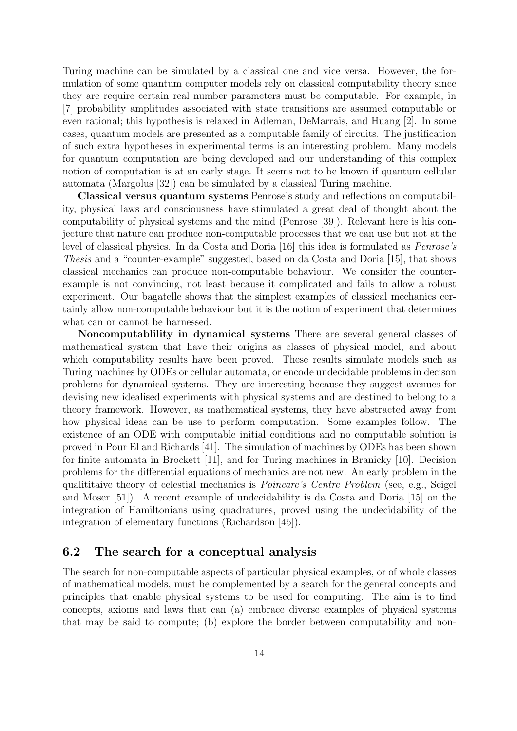Turing machine can be simulated by a classical one and vice versa. However, the formulation of some quantum computer models rely on classical computability theory since they are require certain real number parameters must be computable. For example, in [7] probability amplitudes associated with state transitions are assumed computable or even rational; this hypothesis is relaxed in Adleman, DeMarrais, and Huang [2]. In some cases, quantum models are presented as a computable family of circuits. The justification of such extra hypotheses in experimental terms is an interesting problem. Many models for quantum computation are being developed and our understanding of this complex notion of computation is at an early stage. It seems not to be known if quantum cellular automata (Margolus [32]) can be simulated by a classical Turing machine.

Classical versus quantum systems Penrose's study and reflections on computability, physical laws and consciousness have stimulated a great deal of thought about the computability of physical systems and the mind (Penrose [39]). Relevant here is his conjecture that nature can produce non-computable processes that we can use but not at the level of classical physics. In da Costa and Doria [16] this idea is formulated as Penrose's Thesis and a "counter-example" suggested, based on da Costa and Doria [15], that shows classical mechanics can produce non-computable behaviour. We consider the counterexample is not convincing, not least because it complicated and fails to allow a robust experiment. Our bagatelle shows that the simplest examples of classical mechanics certainly allow non-computable behaviour but it is the notion of experiment that determines what can or cannot be harnessed.

Noncomputablility in dynamical systems There are several general classes of mathematical system that have their origins as classes of physical model, and about which computability results have been proved. These results simulate models such as Turing machines by ODEs or cellular automata, or encode undecidable problems in decison problems for dynamical systems. They are interesting because they suggest avenues for devising new idealised experiments with physical systems and are destined to belong to a theory framework. However, as mathematical systems, they have abstracted away from how physical ideas can be use to perform computation. Some examples follow. The existence of an ODE with computable initial conditions and no computable solution is proved in Pour El and Richards [41]. The simulation of machines by ODEs has been shown for finite automata in Brockett [11], and for Turing machines in Branicky [10]. Decision problems for the differential equations of mechanics are not new. An early problem in the qualititaive theory of celestial mechanics is Poincare's Centre Problem (see, e.g., Seigel and Moser [51]). A recent example of undecidability is da Costa and Doria [15] on the integration of Hamiltonians using quadratures, proved using the undecidability of the integration of elementary functions (Richardson [45]).

### 6.2 The search for a conceptual analysis

The search for non-computable aspects of particular physical examples, or of whole classes of mathematical models, must be complemented by a search for the general concepts and principles that enable physical systems to be used for computing. The aim is to find concepts, axioms and laws that can (a) embrace diverse examples of physical systems that may be said to compute; (b) explore the border between computability and non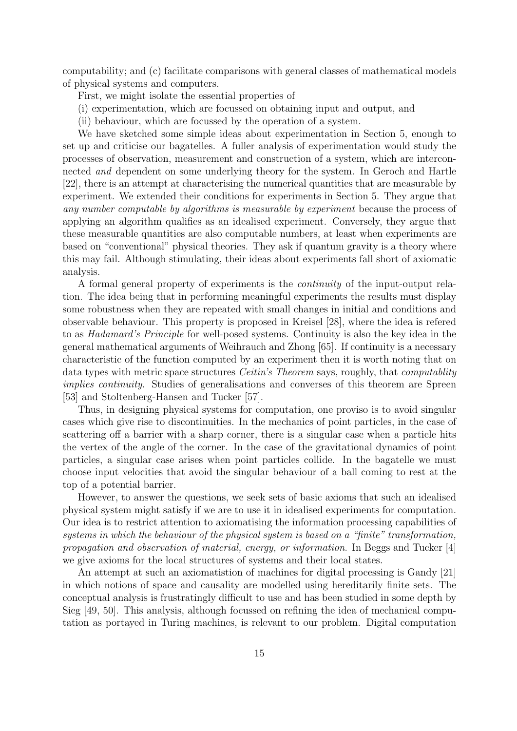computability; and (c) facilitate comparisons with general classes of mathematical models of physical systems and computers.

First, we might isolate the essential properties of

- (i) experimentation, which are focussed on obtaining input and output, and
- (ii) behaviour, which are focussed by the operation of a system.

We have sketched some simple ideas about experimentation in Section 5, enough to set up and criticise our bagatelles. A fuller analysis of experimentation would study the processes of observation, measurement and construction of a system, which are interconnected and dependent on some underlying theory for the system. In Geroch and Hartle [22], there is an attempt at characterising the numerical quantities that are measurable by experiment. We extended their conditions for experiments in Section 5. They argue that any number computable by algorithms is measurable by experiment because the process of applying an algorithm qualifies as an idealised experiment. Conversely, they argue that these measurable quantities are also computable numbers, at least when experiments are based on "conventional" physical theories. They ask if quantum gravity is a theory where this may fail. Although stimulating, their ideas about experiments fall short of axiomatic analysis.

A formal general property of experiments is the continuity of the input-output relation. The idea being that in performing meaningful experiments the results must display some robustness when they are repeated with small changes in initial and conditions and observable behaviour. This property is proposed in Kreisel [28], where the idea is refered to as Hadamard's Principle for well-posed systems. Continuity is also the key idea in the general mathematical arguments of Weihrauch and Zhong [65]. If continuity is a necessary characteristic of the function computed by an experiment then it is worth noting that on data types with metric space structures *Ceitin's Theorem* says, roughly, that *computablity* implies continuity. Studies of generalisations and converses of this theorem are Spreen [53] and Stoltenberg-Hansen and Tucker [57].

Thus, in designing physical systems for computation, one proviso is to avoid singular cases which give rise to discontinuities. In the mechanics of point particles, in the case of scattering off a barrier with a sharp corner, there is a singular case when a particle hits the vertex of the angle of the corner. In the case of the gravitational dynamics of point particles, a singular case arises when point particles collide. In the bagatelle we must choose input velocities that avoid the singular behaviour of a ball coming to rest at the top of a potential barrier.

However, to answer the questions, we seek sets of basic axioms that such an idealised physical system might satisfy if we are to use it in idealised experiments for computation. Our idea is to restrict attention to axiomatising the information processing capabilities of systems in which the behaviour of the physical system is based on a "finite" transformation, propagation and observation of material, energy, or information. In Beggs and Tucker [4] we give axioms for the local structures of systems and their local states.

An attempt at such an axiomatistion of machines for digital processing is Gandy [21] in which notions of space and causality are modelled using hereditarily finite sets. The conceptual analysis is frustratingly difficult to use and has been studied in some depth by Sieg [49, 50]. This analysis, although focussed on refining the idea of mechanical computation as portayed in Turing machines, is relevant to our problem. Digital computation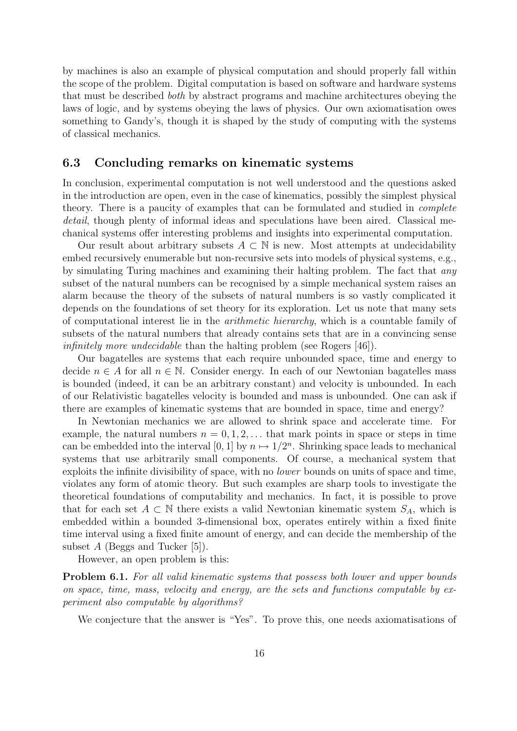by machines is also an example of physical computation and should properly fall within the scope of the problem. Digital computation is based on software and hardware systems that must be described both by abstract programs and machine architectures obeying the laws of logic, and by systems obeying the laws of physics. Our own axiomatisation owes something to Gandy's, though it is shaped by the study of computing with the systems of classical mechanics.

#### 6.3 Concluding remarks on kinematic systems

In conclusion, experimental computation is not well understood and the questions asked in the introduction are open, even in the case of kinematics, possibly the simplest physical theory. There is a paucity of examples that can be formulated and studied in complete detail, though plenty of informal ideas and speculations have been aired. Classical mechanical systems offer interesting problems and insights into experimental computation.

Our result about arbitrary subsets  $A \subset \mathbb{N}$  is new. Most attempts at undecidability embed recursively enumerable but non-recursive sets into models of physical systems, e.g., by simulating Turing machines and examining their halting problem. The fact that any subset of the natural numbers can be recognised by a simple mechanical system raises an alarm because the theory of the subsets of natural numbers is so vastly complicated it depends on the foundations of set theory for its exploration. Let us note that many sets of computational interest lie in the arithmetic hierarchy, which is a countable family of subsets of the natural numbers that already contains sets that are in a convincing sense infinitely more undecidable than the halting problem (see Rogers [46]).

Our bagatelles are systems that each require unbounded space, time and energy to decide  $n \in A$  for all  $n \in \mathbb{N}$ . Consider energy. In each of our Newtonian bagatelles mass is bounded (indeed, it can be an arbitrary constant) and velocity is unbounded. In each of our Relativistic bagatelles velocity is bounded and mass is unbounded. One can ask if there are examples of kinematic systems that are bounded in space, time and energy?

In Newtonian mechanics we are allowed to shrink space and accelerate time. For example, the natural numbers  $n = 0, 1, 2, \ldots$  that mark points in space or steps in time can be embedded into the interval [0, 1] by  $n \mapsto 1/2^n$ . Shrinking space leads to mechanical systems that use arbitrarily small components. Of course, a mechanical system that exploits the infinite divisibility of space, with no lower bounds on units of space and time, violates any form of atomic theory. But such examples are sharp tools to investigate the theoretical foundations of computability and mechanics. In fact, it is possible to prove that for each set  $A \subset \mathbb{N}$  there exists a valid Newtonian kinematic system  $S_A$ , which is embedded within a bounded 3-dimensional box, operates entirely within a fixed finite time interval using a fixed finite amount of energy, and can decide the membership of the subset  $A$  (Beggs and Tucker [5]).

However, an open problem is this:

**Problem 6.1.** For all valid kinematic systems that possess both lower and upper bounds on space, time, mass, velocity and energy, are the sets and functions computable by experiment also computable by algorithms?

We conjecture that the answer is "Yes". To prove this, one needs axiomatisations of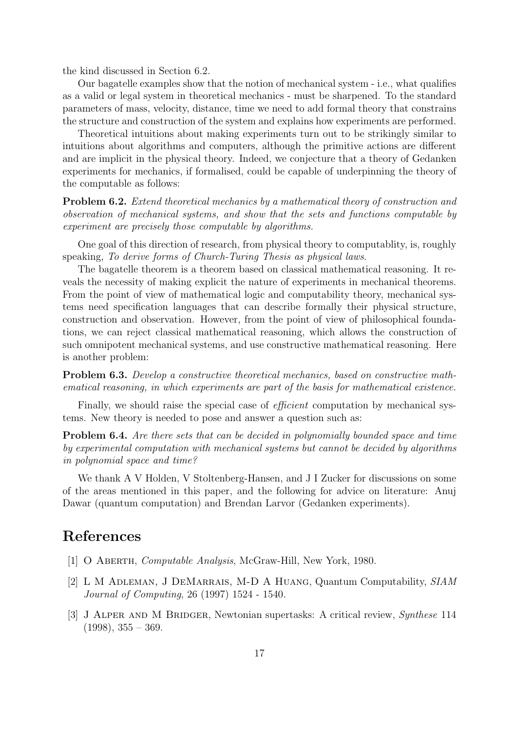the kind discussed in Section 6.2.

Our bagatelle examples show that the notion of mechanical system - i.e., what qualifies as a valid or legal system in theoretical mechanics - must be sharpened. To the standard parameters of mass, velocity, distance, time we need to add formal theory that constrains the structure and construction of the system and explains how experiments are performed.

Theoretical intuitions about making experiments turn out to be strikingly similar to intuitions about algorithms and computers, although the primitive actions are different and are implicit in the physical theory. Indeed, we conjecture that a theory of Gedanken experiments for mechanics, if formalised, could be capable of underpinning the theory of the computable as follows:

Problem 6.2. Extend theoretical mechanics by a mathematical theory of construction and observation of mechanical systems, and show that the sets and functions computable by experiment are precisely those computable by algorithms.

One goal of this direction of research, from physical theory to computablity, is, roughly speaking, To derive forms of Church-Turing Thesis as physical laws.

The bagatelle theorem is a theorem based on classical mathematical reasoning. It reveals the necessity of making explicit the nature of experiments in mechanical theorems. From the point of view of mathematical logic and computability theory, mechanical systems need specification languages that can describe formally their physical structure, construction and observation. However, from the point of view of philosophical foundations, we can reject classical mathematical reasoning, which allows the construction of such omnipotent mechanical systems, and use constructive mathematical reasoning. Here is another problem:

Problem 6.3. Develop a constructive theoretical mechanics, based on constructive mathematical reasoning, in which experiments are part of the basis for mathematical existence.

Finally, we should raise the special case of *efficient* computation by mechanical systems. New theory is needed to pose and answer a question such as:

Problem 6.4. Are there sets that can be decided in polynomially bounded space and time by experimental computation with mechanical systems but cannot be decided by algorithms in polynomial space and time?

We thank A V Holden, V Stoltenberg-Hansen, and J I Zucker for discussions on some of the areas mentioned in this paper, and the following for advice on literature: Anuj Dawar (quantum computation) and Brendan Larvor (Gedanken experiments).

# References

- [1] O Aberth, Computable Analysis, McGraw-Hill, New York, 1980.
- [2] L M Adleman, J DeMarrais, M-D A Huang, Quantum Computability, SIAM Journal of Computing, 26 (1997) 1524 - 1540.
- [3] J Alper and M Bridger, Newtonian supertasks: A critical review, Synthese 114  $(1998), 355 - 369.$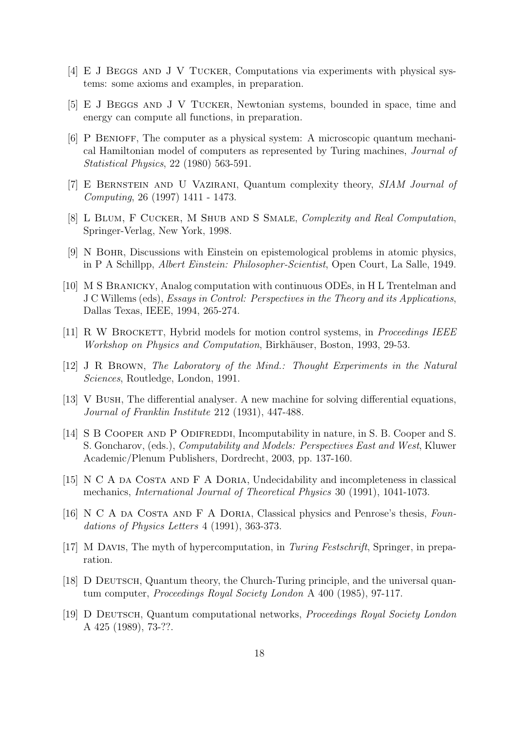- [4] E J BEGGS AND J V TUCKER, Computations via experiments with physical systems: some axioms and examples, in preparation.
- [5] E J Beggs and J V Tucker, Newtonian systems, bounded in space, time and energy can compute all functions, in preparation.
- [6] P Benioff, The computer as a physical system: A microscopic quantum mechanical Hamiltonian model of computers as represented by Turing machines, Journal of Statistical Physics, 22 (1980) 563-591.
- [7] E Bernstein and U Vazirani, Quantum complexity theory, SIAM Journal of Computing, 26 (1997) 1411 - 1473.
- [8] L Blum, F Cucker, M Shub and S Smale, Complexity and Real Computation, Springer-Verlag, New York, 1998.
- [9] N Bohr, Discussions with Einstein on epistemological problems in atomic physics, in P A Schillpp, Albert Einstein: Philosopher-Scientist, Open Court, La Salle, 1949.
- [10] M S Branicky, Analog computation with continuous ODEs, in H L Trentelman and J C Willems (eds), Essays in Control: Perspectives in the Theory and its Applications, Dallas Texas, IEEE, 1994, 265-274.
- [11] R W BROCKETT, Hybrid models for motion control systems, in *Proceedings IEEE* Workshop on Physics and Computation, Birkhäuser, Boston, 1993, 29-53.
- [12] J R Brown, The Laboratory of the Mind.: Thought Experiments in the Natural Sciences, Routledge, London, 1991.
- [13] V Bush, The differential analyser. A new machine for solving differential equations, Journal of Franklin Institute 212 (1931), 447-488.
- [14] S B COOPER AND P ODIFREDDI, Incomputability in nature, in S. B. Cooper and S. S. Goncharov, (eds.), Computability and Models: Perspectives East and West, Kluwer Academic/Plenum Publishers, Dordrecht, 2003, pp. 137-160.
- [15] N C A da Costa and F A Doria, Undecidability and incompleteness in classical mechanics, International Journal of Theoretical Physics 30 (1991), 1041-1073.
- [16] N C A DA COSTA AND F A DORIA, Classical physics and Penrose's thesis, Foundations of Physics Letters 4 (1991), 363-373.
- [17] M Davis, The myth of hypercomputation, in Turing Festschrift, Springer, in preparation.
- [18] D DEUTSCH, Quantum theory, the Church-Turing principle, and the universal quantum computer, Proceedings Royal Society London A 400 (1985), 97-117.
- [19] D DEUTSCH, Quantum computational networks, Proceedings Royal Society London A 425 (1989), 73-??.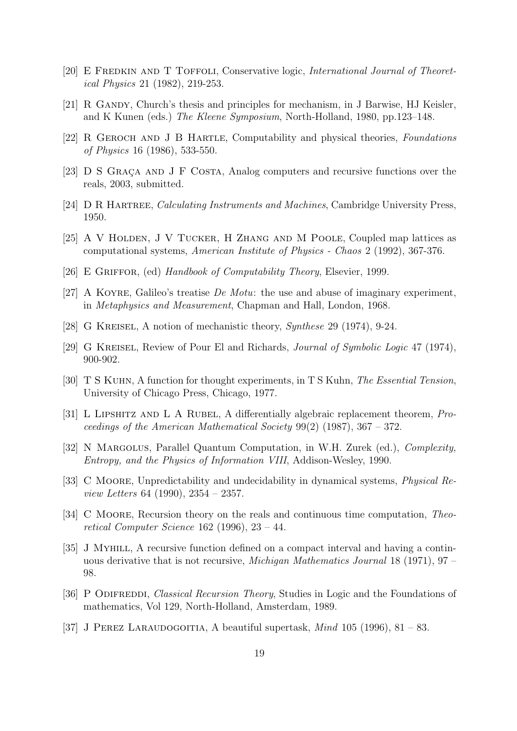- [20] E FREDKIN AND T TOFFOLI, Conservative logic, International Journal of Theoretical Physics 21 (1982), 219-253.
- [21] R GANDY, Church's thesis and principles for mechanism, in J Barwise, HJ Keisler, and K Kunen (eds.) The Kleene Symposium, North-Holland, 1980, pp.123–148.
- [22] R Geroch and J B Hartle, Computability and physical theories, Foundations of Physics 16 (1986), 533-550.
- [23] D S GRACA AND J F COSTA, Analog computers and recursive functions over the reals, 2003, submitted.
- [24] D R Hartree, Calculating Instruments and Machines, Cambridge University Press, 1950.
- [25] A V Holden, J V Tucker, H Zhang and M Poole, Coupled map lattices as computational systems, American Institute of Physics - Chaos 2 (1992), 367-376.
- [26] E Griffor, (ed) Handbook of Computability Theory, Elsevier, 1999.
- [27] A Koyre, Galileo's treatise De Motu: the use and abuse of imaginary experiment, in Metaphysics and Measurement, Chapman and Hall, London, 1968.
- [28] G Kreisel, A notion of mechanistic theory, Synthese 29 (1974), 9-24.
- [29] G Kreisel, Review of Pour El and Richards, Journal of Symbolic Logic 47 (1974), 900-902.
- [30] T S Kuhn, A function for thought experiments, in T S Kuhn, The Essential Tension, University of Chicago Press, Chicago, 1977.
- [31] L LIPSHITZ AND L A RUBEL, A differentially algebraic replacement theorem, Proceedings of the American Mathematical Society  $99(2)$  (1987), 367 – 372.
- [32] N MARGOLUS, Parallel Quantum Computation, in W.H. Zurek (ed.), *Complexity*, Entropy, and the Physics of Information VIII, Addison-Wesley, 1990.
- [33] C Moore, Unpredictability and undecidability in dynamical systems, Physical Review Letters 64 (1990), 2354 – 2357.
- [34] C Moore, Recursion theory on the reals and continuous time computation, Theoretical Computer Science 162 (1996), 23 – 44.
- [35] J Myhill, A recursive function defined on a compact interval and having a continuous derivative that is not recursive, Michigan Mathematics Journal 18 (1971), 97 – 98.
- [36] P ODIFREDDI, Classical Recursion Theory, Studies in Logic and the Foundations of mathematics, Vol 129, North-Holland, Amsterdam, 1989.
- [37] J PEREZ LARAUDOGOITIA, A beautiful supertask,  $Mind$  105 (1996), 81 83.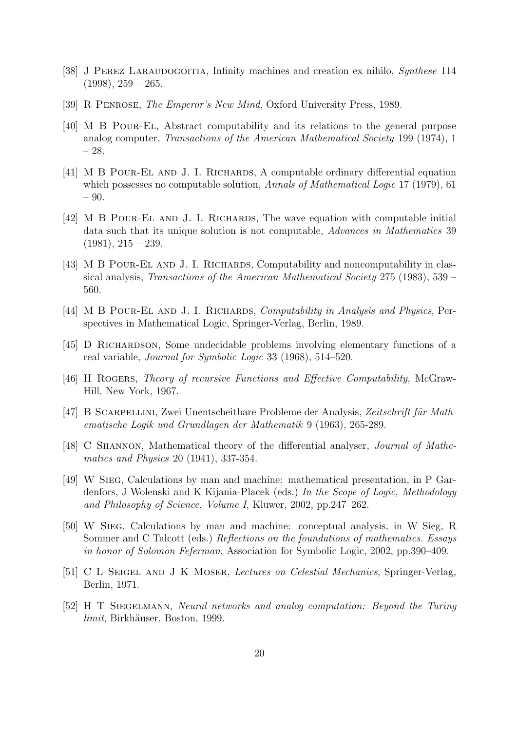- [38] J PEREZ LARAUDOGOITIA, Infinity machines and creation ex nihilo, *Synthese* 114  $(1998), 259 - 265.$
- [39] R PENROSE, *The Emperor's New Mind*, Oxford University Press, 1989.
- [40] M B Pour-El, Abstract computability and its relations to the general purpose analog computer, Transactions of the American Mathematical Society 199 (1974), 1 – 28.
- [41] M B Pour-El and J. I. Richards, A computable ordinary differential equation which possesses no computable solution, *Annals of Mathematical Logic* 17 (1979), 61 – 90.
- [42] M B Pour-El and J. I. Richards, The wave equation with computable initial data such that its unique solution is not computable, Advances in Mathematics 39  $(1981), 215 - 239.$
- [43] M B POUR-EL AND J. I. RICHARDS, Computability and noncomputability in classical analysis, Transactions of the American Mathematical Society 275 (1983), 539 – 560.
- [44] M B POUR-EL AND J. I. RICHARDS, *Computability in Analysis and Physics*, Perspectives in Mathematical Logic, Springer-Verlag, Berlin, 1989.
- [45] D Richardson, Some undecidable problems involving elementary functions of a real variable, Journal for Symbolic Logic 33 (1968), 514–520.
- [46] H Rogers, Theory of recursive Functions and Effective Computability, McGraw-Hill, New York, 1967.
- [47] B SCARPELLINI, Zwei Unentscheitbare Probleme der Analysis, Zeitschrift für Mathematische Logik und Grundlagen der Mathematik 9 (1963), 265-289.
- [48] C SHANNON, Mathematical theory of the differential analyser, *Journal of Mathe*matics and Physics 20 (1941), 337-354.
- [49] W Sieg, Calculations by man and machine: mathematical presentation, in P Gardenfors, J Wolenski and K Kijania-Placek (eds.) In the Scope of Logic, Methodology and Philosophy of Science. Volume I, Kluwer, 2002, pp.247–262.
- [50] W Sieg, Calculations by man and machine: conceptual analysis, in W Sieg, R Sommer and C Talcott (eds.) Reflections on the foundations of mathematics. Essays in honor of Solomon Feferman, Association for Symbolic Logic, 2002, pp.390–409.
- [51] C L Seigel and J K Moser, Lectures on Celestial Mechanics, Springer-Verlag, Berlin, 1971.
- [52] H T Siegelmann, Neural networks and analog computation: Beyond the Turing limit, Birkhäuser, Boston, 1999.